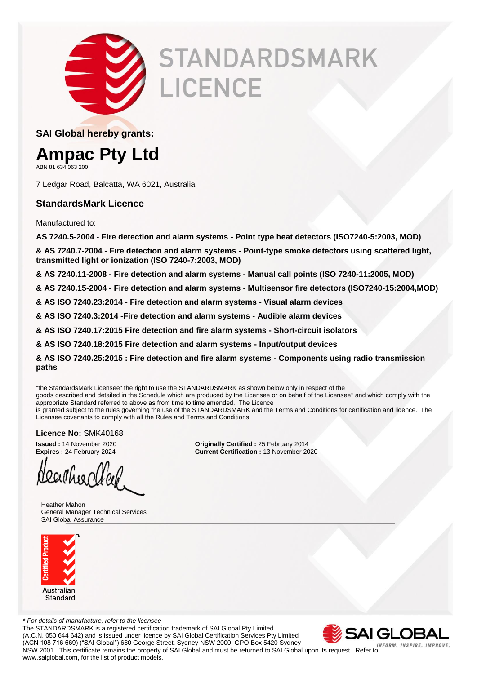

# **STANDARDSMARK** LICENCE

**SAI Global hereby grants:**

### **Ampac Pty Ltd**

ABN 81 634 063 200

7 Ledgar Road, Balcatta, WA 6021, Australia

#### **StandardsMark Licence**

Manufactured to:

**AS 7240.5-2004 - Fire detection and alarm systems - Point type heat detectors (ISO7240-5:2003, MOD)**

**& AS 7240.7-2004 - Fire detection and alarm systems - Point-type smoke detectors using scattered light, transmitted light or ionization (ISO 7240-7:2003, MOD)**

**& AS 7240.11-2008 - Fire detection and alarm systems - Manual call points (ISO 7240-11:2005, MOD)**

**& AS 7240.15-2004 - Fire detection and alarm systems - Multisensor fire detectors (ISO7240-15:2004,MOD)**

**& AS ISO 7240.23:2014 - Fire detection and alarm systems - Visual alarm devices**

**& AS ISO 7240.3:2014 -Fire detection and alarm systems - Audible alarm devices**

**& AS ISO 7240.17:2015 Fire detection and fire alarm systems - Short-circuit isolators**

**& AS ISO 7240.18:2015 Fire detection and alarm systems - Input/output devices**

**& AS ISO 7240.25:2015 : Fire detection and fire alarm systems - Components using radio transmission paths**

"the StandardsMark Licensee" the right to use the STANDARDSMARK as shown below only in respect of the goods described and detailed in the Schedule which are produced by the Licensee or on behalf of the Licensee\* and which comply with the appropriate Standard referred to above as from time to time amended. The Licence is granted subject to the rules governing the use of the STANDARDSMARK and the Terms and Conditions for certification and licence. The Licensee covenants to comply with all the Rules and Terms and Conditions.

**Licence No:** SMK40168

2aithee old

 Heather Mahon General Manager Technical Services SAI Global Assurance



*\* For details of manufacture, refer to the licensee* The STANDARDSMARK is a registered certification trademark of SAI Global Pty Limited (A.C.N. 050 644 642) and is issued under licence by SAI Global Certification Services Pty Limited (ACN 108 716 669) ("SAI Global") 680 George Street, Sydney NSW 2000, GPO Box 5420 Sydney



INFORM, INSPIRE, IMPROVE. NSW 2001. This certificate remains the property of SAI Global and must be returned to SAI Global upon its request. Refer to www.saiglobal.com, for the list of product models.

**Issued :** 14 November 2020 **Originally Certified :** 25 February 2014 **Current Certification : 13 November 2020**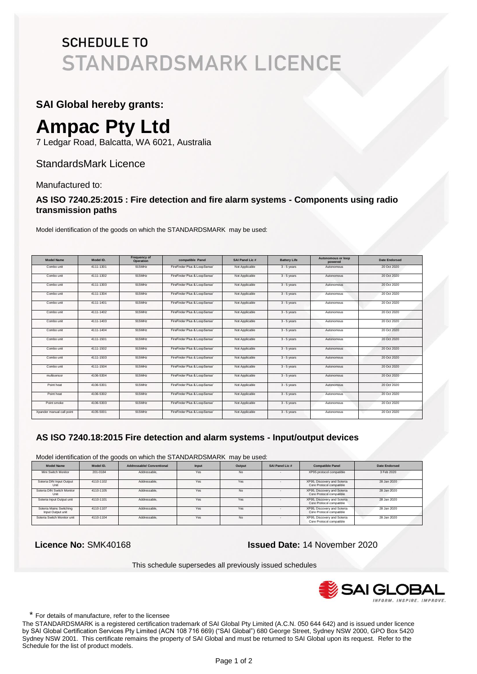#### **SAI Global hereby grants:**

# **Ampac Pty Ltd**

7 Ledgar Road, Balcatta, WA 6021, Australia

#### StandardsMark Licence

Manufactured to:

#### **AS ISO 7240.25:2015 : Fire detection and fire alarm systems - Components using radio transmission paths**

Model identification of the goods on which the STANDARDSMARK may be used:

| <b>Model Name</b>         | Model ID. | Frequency of<br>Operation | compatible Panel             | SAI Panel Lic.# | <b>Battery Life</b> | <b>Autonomous or loop</b><br>powered | Date Endorsed |
|---------------------------|-----------|---------------------------|------------------------------|-----------------|---------------------|--------------------------------------|---------------|
| Combo unit                | 4111-1301 | 915MHz                    | FireFinder Plus & LoopSense' | Not Applicable  | $3 - 5$ vears       | Autonomous                           | 20 Oct 2020   |
| Combo unit                | 4111-1302 | 915MHz                    | FireFinder Plus & LoopSense' | Not Applicable  | $3 - 5$ years       | Autonomous                           | 20 Oct 2020   |
| Combo unit                | 4111-1303 | 915MHz                    | FireFinder Plus & LoopSense' | Not Applicable  | $3 - 5$ vears       | Autonomous                           | 20 Oct 2020   |
| Combo unit                | 4111-1304 | 915MHz                    | FireFinder Plus & LoopSense' | Not Applicable  | $3 - 5$ years       | Autonomous                           | 20 Oct 2020   |
| Combo unit                | 4111-1401 | 915MHz                    | FireFinder Plus & LoopSense' | Not Applicable  | $3 - 5$ vears       | Autonomous                           | 20 Oct 2020   |
| Combo unit                | 4111-1402 | 915MHz                    | FireFinder Plus & LoopSense' | Not Applicable  | $3 - 5$ years       | Autonomous                           | 20 Oct 2020   |
| Combo unit                | 4111-1403 | 915MHz                    | FireFinder Plus & LoopSense' | Not Applicable  | $3 - 5$ vears       | Autonomous                           | 20 Oct 2020   |
| Combo unit                | 4111-1404 | 915MHz                    | FireFinder Plus & LoopSense' | Not Applicable  | $3 - 5$ years       | Autonomous                           | 20 Oct 2020   |
| Combo unit                | 4111-1501 | 915MHz                    | FireFinder Plus & LoopSense' | Not Applicable  | $3 - 5$ vears       | Autonomous                           | 20 Oct 2020   |
| Combo unit                | 4111-1502 | 915MHz                    | FireFinder Plus & LoopSense' | Not Applicable  | $3 - 5$ years       | Autonomous                           | 20 Oct 2020   |
| Combo unit                | 4111-1503 | 915MHz                    | FireFinder Plus & LoopSense' | Not Applicable  | $3 - 5$ vears       | Autonomous                           | 20 Oct 2020   |
| Combo unit                | 4111-1504 | 915MHz                    | FireFinder Plus & LoopSense' | Not Applicable  | $3 - 5$ years       | Autonomous                           | 20 Oct 2020   |
| multisensor               | 4106-5304 | 915MHz                    | FireFinder Plus & LoopSense' | Not Applicable  | $3 - 5$ vears       | Autonomous                           | 20 Oct 2020   |
| Point heat                | 4106-5301 | 915MHz                    | FireFinder Plus & LoopSense' | Not Applicable  | $3 - 5$ years       | Autonomous                           | 20 Oct 2020   |
| Point heat                | 4106-5302 | 915MHz                    | FireFinder Plus & LoopSense' | Not Applicable  | $3 - 5$ years       | Autonomous                           | 20 Oct 2020   |
| Point smoke               | 4106-5303 | 915MHz                    | FireFinder Plus & LoopSense' | Not Applicable  | $3 - 5$ years       | Autonomous                           | 20 Oct 2020   |
| Xpander manual call point | 4105-5001 | 915MHz                    | FireFinder Plus & LoopSense' | Not Applicable  | $3 - 5$ vears       | Autonomous                           | 20 Oct 2020   |

#### **AS ISO 7240.18:2015 Fire detection and alarm systems - Input/output devices**

Model identification of the goods on which the STANDARDSMARK may be used:

| <b>Model Name</b>                            | Model ID. | <b>Addressable/ Conventional</b> | Input | Output    | SAI Panel Lic # | <b>Compatible Panel</b>                                 | <b>Date Endorsed</b> |
|----------------------------------------------|-----------|----------------------------------|-------|-----------|-----------------|---------------------------------------------------------|----------------------|
| Mini Switch Monitor                          | 201-0184  | Addressable.                     | Yes   | <b>No</b> |                 | XP95 protocol compatible                                | 3 Feb 2020           |
| Soteria DIN Input Output<br>Unit             | 4110-1102 | Addressable.                     | Yes   | Yes       |                 | XP95, Discovery and Soteria<br>Core Protocol compatible | 28 Jan 2020          |
| Soteria DIN Switch Monitor<br>Unit           | 4110-1105 | Addressable.                     | Yes   | No        |                 | XP95, Discovery and Soteria<br>Core Protocol compatible | 28 Jan 2020          |
| Soteria Input Output unit                    | 4110-1101 | Addressable.                     | Yes   | Yes       |                 | XP95, Discovery and Soteria<br>Core Protocol compatible | 28 Jan 2020          |
| Soteria Mains Switching<br>Input Output unit | 4110-1107 | Addressable.                     | Yes   | Yes       |                 | XP95, Discovery and Soteria<br>Core Protocol compatible | 28 Jan 2020          |
| Soteria Switch Monitor unit                  | 4110-1104 | Addressable.                     | Yes   | <b>No</b> |                 | XP95, Discovery and Soteria<br>Core Protocol compatible | 28 Jan 2020          |

 **Licence No:** SMK40168 **Issued Date:** 14 November 2020

This schedule supersedes all previously issued schedules



\* For details of manufacture, refer to the licensee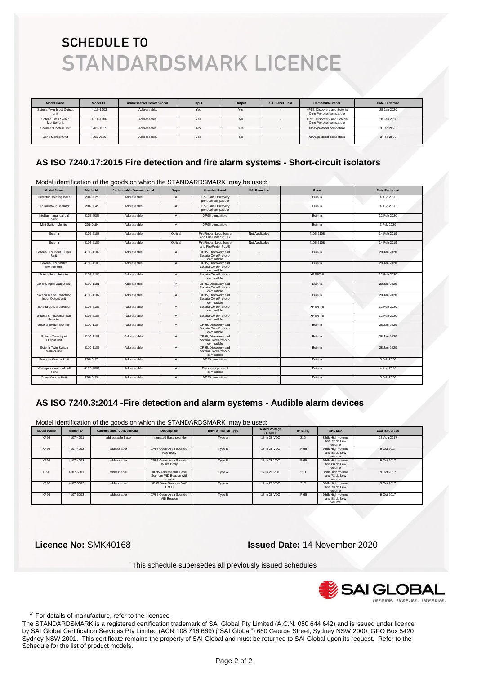| <b>Model Name</b>                   | Model ID. | <b>Addressable/ Conventional</b> | Input | Output | SAI Panel Lic # | <b>Compatible Panel</b>                                 | <b>Date Endorsed</b> |
|-------------------------------------|-----------|----------------------------------|-------|--------|-----------------|---------------------------------------------------------|----------------------|
| Soteria Twin Input Output<br>unit   | 4110-1103 | Addressable.                     | Yes   | Yes    |                 | XP95. Discovery and Soteria<br>Core Protocol compatible | 28 Jan 2020          |
| Soteria Twin Switch<br>Monitor unit | 4110-1106 | Addressable.                     | Yes   | No     |                 | XP95, Discovery and Soteria<br>Core Protocol compatible | 28 Jan 2020          |
| Sounder Control Unit                | 201-0127  | Addressable,                     | No.   | Yes    |                 | XP95 protocol compatible                                | 3 Feb 2020           |
| Zone Monitor Unit                   | 201-0126  | Addressable.                     | Yes   | No     |                 | XP95 protocol compatible                                | 3 Feb 2020           |

#### **AS ISO 7240.17:2015 Fire detection and fire alarm systems - Short-circuit isolators**

Model identification of the goods on which the STANDARDSMARK may be used:

| <b>Model Name</b>                            | Model Id  | Addressable / conventional | Type           | <b>Useable Panel</b>                                       | <b>SAI Panel Lic</b>     | <b>Base</b> | <b>Date Endorsed</b> |
|----------------------------------------------|-----------|----------------------------|----------------|------------------------------------------------------------|--------------------------|-------------|----------------------|
| Detector isolating base                      | 201-0125  | Addressable                | $\mathsf{A}$   | XP95 and Discovery<br>protocol compatible                  |                          | Built-in    | 4 Aug 2020           |
| Din rail mount isolator                      | 201-0145  | Addressable                | $\overline{A}$ | XP95 and Discovery<br>protocol compatible                  |                          | Built-in    | 4 Aug 2020           |
| Intelligent manual call<br>point             | 4105-2005 | Addressable                | A              | XP95 compatible                                            | $\overline{\phantom{a}}$ | Built-in    | 12 Feb 2020          |
| Mini Switch Monitor                          | 201-0184  | Addressable                | A              | XP95 compatible                                            | $\overline{\phantom{a}}$ | Built-in    | 3 Feb 2020           |
| Soteria                                      | 4106-2107 | Addressable                | Optical        | FireFinder, LoopSense<br>and FireFinder PLUS               | Not Applicable           | 4106-2108   | 14 Feb 2019          |
| Soteria                                      | 4106-2109 | Addressable                | Optical        | FireFinder, LoopSense<br>and FireFinder PLUS               | Not Applicable           | 4106-2108   | 14 Feb 2019          |
| Soteria DIN Input Output<br>Unit             | 4110-1102 | Addressable                | A              | XP95. Discovery and<br>Soteria Core Protocol<br>compatible | $\mathbf{r}$             | Built-in    | 28 Jan 2020          |
| Soteria DIN Switch<br>Monitor Unit           | 4110-1105 | Addressable                | $\overline{A}$ | XP95, Discovery and<br>Soteria Core Protocol<br>compatible | $\sim$                   | Built-in    | 28 Jan 2020          |
| Soteria heat detector                        | 4106-2104 | Addressable                | $\mathsf{A}$   | Soteria Core Protocol<br>compatible                        | $\mathbf{r}$             | XPERT-8     | 12 Feb 2020          |
| Soteria Input Output unit                    | 4110-1101 | Addressable                | A              | XP95. Discovery and<br>Soteria Core Protocol<br>compatible |                          | Built-in    | 28 Jan 2020          |
| Soteria Mains Switching<br>Input Output unit | 4110-1107 | Addressable                | A              | XP95, Discovery and<br>Soteria Core Protocol<br>compatible | ٠.                       | Built-in    | 28. Jan 2020         |
| Soteria optical detector                     | 4106-2102 | Addressable                | A              | Soteria Core Protocol<br>compatible                        | $\sim$                   | XPERT-8     | 12 Feb 2020          |
| Soteria smoke and heat<br>detector           | 4106-2106 | Addressable                | $\overline{A}$ | Soteria Core Protocol<br>compatible                        | $\sim$                   | XPERT-8     | 12 Feb 2020          |
| Soteria Switch Monitor<br>unit               | 4110-1104 | Addressable                | $\overline{A}$ | XP95. Discovery and<br>Soteria Core Protocol<br>compatible | $\sim$                   | Built-in    | 28 Jan 2020          |
| Soteria Twin Input<br>Output unit            | 4110-1103 | Addressable                | $\overline{A}$ | XP95, Discovery and<br>Soteria Core Protocol<br>compatible |                          | Built-in    | 28 Jan 2020          |
| Soteria Twin Switch<br>Monitor unit          | 4110-1106 | Addressable                | $\mathsf{A}$   | XP95. Discovery and<br>Soteria Core Protocol<br>compatible | $\mathbf{r}$             | Built-in    | 28 Jan 2020          |
| Sounder Control Unit                         | 201-0127  | Addressable                | A              | XP95 compatible                                            | $\sim$                   | Built-in    | 3 Feb 2020           |
| Waterproof manual call<br>point              | 4105-2002 | Addressable                | $\overline{A}$ | Discovery protocol<br>compatible                           | $\mathbf{r}$             | Built-in    | 4 Aug 2020           |
| Zone Monitor Unit                            | 201-0126  | Addressable                | $\overline{A}$ | XP95 compatible                                            | $\sim$                   | Built-in    | 3 Feb 2020           |

#### **AS ISO 7240.3:2014 -Fire detection and alarm systems - Audible alarm devices**

Model identification of the goods on which the STANDARDSMARK may be used:

| <b>Model Name</b> | Model ID  | <b>Addressable / Conventional</b> | <b>Description</b>                                           | <b>Environmental Type</b> | <b>Rated Voltage</b><br>(AC/DC) | IP rating | <b>SPL Max</b>                              | <b>Date Endorsed</b> |
|-------------------|-----------|-----------------------------------|--------------------------------------------------------------|---------------------------|---------------------------------|-----------|---------------------------------------------|----------------------|
| XP95              | 4107-4001 | addressable base                  | Integrated Base sounder                                      | Type A                    | 17 to 28 VDC                    | 21D       | 86db High volume<br>and 72 db Low<br>volume | 23 Aug 2017          |
| XP95              | 4107-4002 | addressable                       | XP95 Open-Area Sounder<br>Red Body                           | Type B                    | 17 to 28 VDC                    | IP 65     | 95db High volume<br>and 88 db Low<br>volume | 9 Oct 2017           |
| XP95              | 4107-4003 | addressable                       | XP95 Open-Area Sounder<br>White Body                         | Type B                    | 17 to 28 VDC                    | IP 65     | 95db High volume<br>and 88 db Low<br>volume | 9 Oct 2017           |
| XP95              | 4107-6001 | addressable                       | XP95 Addressable Base<br>Sounder VID Beacon with<br>Isolator | Type A                    | 17 to 28 VDC                    | 21D       | 87db High volume<br>and 72 db Low<br>volume | 9 Oct 2017           |
| XP95              | 4107-6002 | addressable                       | XP95 Base Sounder VAD<br>Cat O                               | Type A                    | 17 to 28 VDC                    | 21C       | 88db High volume<br>and 73 db Low<br>volume | 9 Oct 2017           |
| <b>XP95</b>       | 4107-6003 | addressable                       | XP95 Open-Area Sounder<br>VID Beacon                         | Type B                    | 17 to 28 VDC                    | IP 65     | 95db High volume<br>and 88 db Low<br>volume | 9 Oct 2017           |

 **Licence No:** SMK40168 **Issued Date:** 14 November 2020

This schedule supersedes all previously issued schedules



\* For details of manufacture, refer to the licensee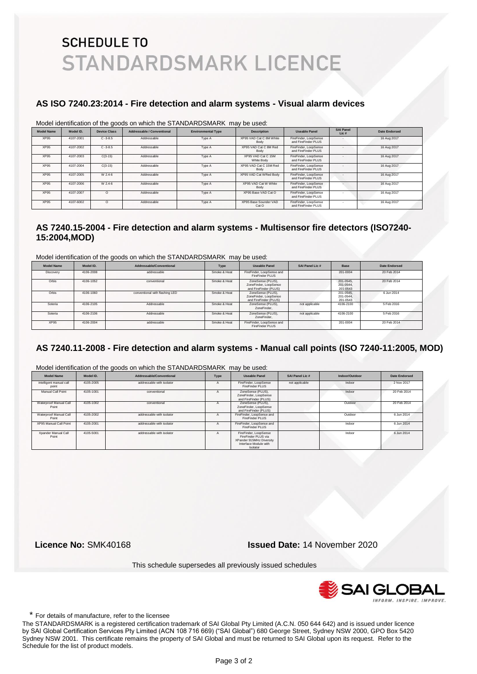#### **AS ISO 7240.23:2014 - Fire detection and alarm systems - Visual alarm devices**

Model identification of the goods on which the STANDARDSMARK may be used:

|                   |           |                     |                            | <u>MUUCI IUCHIIIICAIIUH ULIIIC YUUUS UH WIIICH IIIC OTAINDAINDUMAINN TIIAY</u> | De useu.                         |                                              |                           |                      |
|-------------------|-----------|---------------------|----------------------------|--------------------------------------------------------------------------------|----------------------------------|----------------------------------------------|---------------------------|----------------------|
| <b>Model Name</b> | Model ID. | <b>Device Class</b> | Addressable / Conventional | <b>Environmental Type</b>                                                      | <b>Description</b>               | <b>Useable Panel</b>                         | <b>SAI Panel</b><br>Lic # | <b>Date Endorsed</b> |
| <b>XP95</b>       | 4107-2001 | $C - 3 - 8.5$       | Addressable                | Type A                                                                         | XP95 VAD Cat C 8M White<br>Body  | FireFinder, LoopSense<br>and FireFinder PLUS |                           | 16 Aug 2017          |
| <b>XP95</b>       | 4107-2002 | $C - 3 - 8.5$       | Addressable                | Type A                                                                         | XP95 VAD Cat C 8M Red<br>Body    | FireFinder, LoopSense<br>and FireFinder PLUS |                           | 16 Aug 2017          |
| XP95              | 4107-2003 | $C(3-15)$           | Addressable                | Type A                                                                         | XP95 VAD Cat C 15M<br>White Body | FireFinder, LoopSense<br>and FireFinder PLUS |                           | 16 Aug 2017          |
| <b>XP95</b>       | 4107-2004 | $C(3-15)$           | Addressable                | Type A                                                                         | XP95 VAD Cat C 15M Red<br>Body   | FireFinder, LoopSense<br>and FireFinder PLUS |                           | 16 Aug 2017          |
| <b>XP95</b>       | 4107-2005 | W 2.4-6             | Addressable                | Type A                                                                         | XP95 VAD Cat WRed Body           | FireFinder, LoopSense<br>and FireFinder PLUS |                           | 16 Aug 2017          |
| XP95              | 4107-2006 | W 2.4-6             | Addressable                | Type A                                                                         | XP95 VAD Cat W White<br>Body     | FireFinder, LoopSense<br>and FireFinder PLUS |                           | 16 Aug 2017          |
| XP95              | 4107-2007 | $\circ$             | Addressable                | Type A                                                                         | XP95 Base VAD Cat O              | FireFinder, LoopSense<br>and FireFinder PLUS |                           | 16 Aug 2017          |
| <b>XP95</b>       | 4107-6002 | $\circ$             | Addressable                | Type A                                                                         | XP95 Base Sounder VAD<br>Cat O   | FireFinder, LoopSense<br>and FireFinder PLUS |                           | 16 Aug 2017          |

#### **AS 7240.15-2004 - Fire detection and alarm systems - Multisensor fire detectors (ISO7240- 15:2004,MOD)**

Model identification of the goods on which the STANDARDSMARK may be used:

| <b>Model Name</b> | Model ID. | Addressable/Conventional       | Type         | Useable Panel                                                       | SAI Panel Lic # | <b>Base</b>                        | Date Endorsed |
|-------------------|-----------|--------------------------------|--------------|---------------------------------------------------------------------|-----------------|------------------------------------|---------------|
| Discovery         | 4106-2008 | addressable                    | Smoke & Heat | FireFinder, LoopSense and<br>FireFinder PLUS                        |                 | 201-0004                           | 20 Feb 2014   |
| Orbis             | 4106-1052 | conventional                   | Smoke & Heat | ZoneSense (PLUS),<br>ZoneFinder, LoopSense<br>and FireFinder (PLUS) |                 | 201-0545.<br>201-0544.<br>201-0543 | 20 Feb 2014   |
| Orbis             | 4106-1060 | conventional with flashing LED | Smoke & Heat | ZoneSense (PLUS).<br>ZoneFinder, LoopSense<br>and FireFinder (PLUS) |                 | 201-0545.<br>201-0544.<br>201-0543 | 6 Jun 2014    |
| Soteria           | 4106-2105 | Addressable                    | Smoke & Heat | ZoneSense (PLUS).<br>ZoneFinder.                                    | not applicable  | 4106-2100                          | 5 Feb 2016    |
| Soteria           | 4106-2106 | Addressable                    | Smoke & Heat | ZoneSense (PLUS),<br>ZoneFinder.                                    | not applicable  | 4106-2100                          | 5 Feb 2016    |
| <b>XP95</b>       | 4106-2004 | addressable                    | Smoke & Heat | FireFinder, LoopSense and<br>FireFinder PLUS                        |                 | 201-0004                           | 20 Feb 2014   |

#### **AS 7240.11-2008 - Fire detection and alarm systems - Manual call points (ISO 7240-11:2005, MOD)**

| <b>Model Name</b>                | Model ID. | Addressable/Conventional  | Type         | <b>Useable Panel</b>                                                                                          | SAI Panel Lic # | Indoor/Outdoor | <b>Date Endorsed</b> |
|----------------------------------|-----------|---------------------------|--------------|---------------------------------------------------------------------------------------------------------------|-----------------|----------------|----------------------|
| intelligent manual call<br>point | 4105-2005 | addressable with isolator | $\mathbf{a}$ | FireFinder, LoopSense<br>FireFinder PLUS                                                                      | not applicable  | Indoor         | 2 Nov 2017           |
| Manual Call Point                | 4105-1001 | conventional              |              | ZoneSense (PLUS),<br>ZoneFinder, LoopSense<br>and FireFinder (PLUS)                                           |                 | Indoor         | 20 Feb 2014          |
| Waterproof Manual Call<br>Point  | 4105-1002 | conventional              |              | ZoneSense (PLUS).<br>ZoneFinder, LoopSense<br>and FireFinder (PLUS)                                           |                 | Outdoor        | 20 Feb 2014          |
| Waterproof Manual Call<br>Point  | 4105-2002 | addressable with isolator | А            | FireFinder, LoopSense and<br>FireFinder PLUS                                                                  |                 | Outdoor        | 6 Jun 2014           |
| XP95 Manual Call Point           | 4105-2001 | addressable with isolator |              | FireFinder, LoopSense and<br>FireFinder PLUS                                                                  |                 | Indoor         | 6 Jun 2014           |
| Xpander Manual Call<br>Point     | 4105-5001 | addressable with isolator |              | FireFinder, LoopSense<br>FireFinder PLUS via<br>XPander 915MHz Diversity<br>Interface Module with<br>Isolator |                 | Indoor         | 6 Jun 2014           |

Model identification of the goods on which the STANDARDSMARK may be used:

 **Licence No:** SMK40168 **Issued Date:** 14 November 2020

This schedule supersedes all previously issued schedules



\* For details of manufacture, refer to the licensee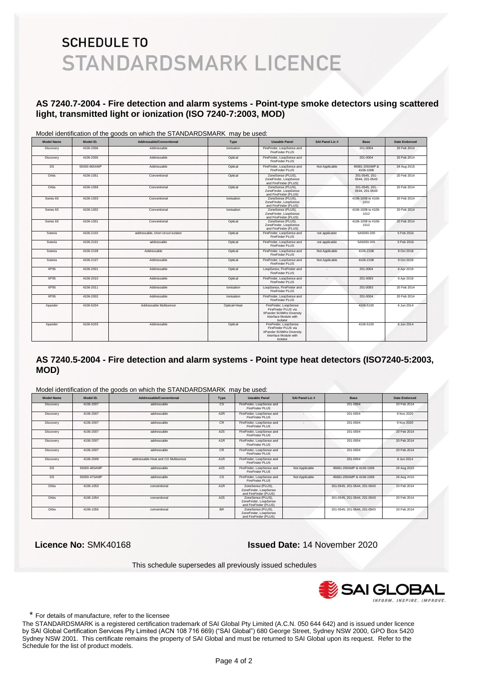#### **AS 7240.7-2004 - Fire detection and alarm systems - Point-type smoke detectors using scattered light, transmitted light or ionization (ISO 7240-7:2003, MOD)**

| <b>Model Name</b> | Model ID.    | Addressable/Conventional            | Type         | <b>Useable Panel</b>                                                                                          | SAI Panel Lic # | <b>Base</b>                      | <b>Date Endorsed</b> |
|-------------------|--------------|-------------------------------------|--------------|---------------------------------------------------------------------------------------------------------------|-----------------|----------------------------------|----------------------|
| Discovery         | 4106-2006    | Addressable                         | Ionisation   | FireFinder, LoopSense and<br>FireFinder PLUS                                                                  |                 | 201-0004                         | 20 Feb 2014          |
| Discovery         | 4106-2005    | Addressable                         | Optical      | FireFinder, LoopSense and<br>FireFinder PLUS                                                                  |                 | 201-0004                         | 20 Feb 2014          |
| <b>DS</b>         | 55000-665AMP | Addressable                         | Optical      | FireFinder, LoopSense and<br>FireFinder PLUS                                                                  | Not Applicable  | 45681-200AMP &<br>4106-1008      | 24 Aug 2015          |
| Orbis             | 4106-1051    | Conventional                        | Optical      | ZoneSense (PLUS),<br>ZoneFinder, LoopSense<br>and FireFinder (PLUS)                                           |                 | 201-0545, 201-<br>0544, 201-0543 | 20 Feb 2014          |
| Orbis             | 4106-1059    | Conventional                        | Optical      | ZoneSense (PLUS),<br>ZoneFinder, LoopSense<br>and FireFinder (PLUS)                                           |                 | 201-0545, 201-<br>0544, 201-0543 | 20 Feb 2014          |
| Series 65         | 4106-1003    | Conventional                        | Ionisation   | ZoneSense (PLUS).<br>ZoneFinder, LoopSense<br>and FireFinder (PLUS)                                           |                 | 4106-1008 to 4106-<br>1012       | 20 Feb 2014          |
| Series 65         | 4106-1002    | Conventional                        | Ionisation   | ZoneSense (PLUS),<br>ZoneFinder, LoopSense<br>and FireFinder (PLUS)                                           |                 | 4106-1008 to 4106-<br>1012       | 20 Feb 2014          |
| Series 65         | 4106-1001    | Conventional                        | Optical      | ZoneSense (PLUS),<br>ZoneFinder, LoopSense<br>and FireFinder (PLUS)                                           |                 |                                  | 20 Feb 2014          |
| Soteria           | 4106-2102    | addressable, short circuit isolator | Optical      | FireFinder, LoopSense and<br>FireFinder PLUS                                                                  | not applicable  | SA5000-200                       | 5 Feb 2016           |
| Soteria           | 4106-2101    | addressable                         | Optical      | FireFinder, LoopSense and<br>FireFinder PLUS                                                                  | not applicable  | SA5000-200                       | 5 Feb 2016           |
| Soteria           | 4106-2109    | Addressable                         | Optical      | FireFinder, LoopSense and<br>FireFinder PLUS                                                                  | Not Applicable  | 4106-2108                        | 9 Oct 2018           |
| Soteria           | 4106-2107    | Addressable                         | Optical      | FireFinder, LoopSense and<br>FireFinder PLUS                                                                  | Not Applicable  | 4106-2108                        | 9 Oct 2018           |
| XP95              | 4106-2001    | Addressable                         | Optical      | LoopSense, FireFinder and<br><b>FireFinder PLUS</b>                                                           |                 | 201-0004                         | 6 Apr 2019           |
| <b>XP95</b>       | 4106-2010    | Addressable                         | Optical      | FireFinder, LoopSense and<br>FireFinder PLUS                                                                  | ٠               | 201-0093                         | 6 Apr 2019           |
| <b>XP95</b>       | 4106-2011    | Addressable                         | Ionisation   | LoopSense, FireFinder and<br>FireFinder PLUS                                                                  |                 | 201-0093                         | 20 Feb 2014          |
| XP95              | 4106-2002    | Addressable                         | Ionisation   | FireFinder, LoopSense and<br>FireFinder PLUS                                                                  |                 | 201-0004                         | 20 Feb 2014          |
| Xpander           | 4106-5204    | Addressable Multisensor             | Optical+Heat | FireFinder, LoopSense<br>FireFinder PLUS via<br>XPander 915MHz Diversity<br>Interface Module with<br>Isolator |                 | 4106-5100                        | 6 Jun 2014           |
| Xpander           | 4106-5203    | Addressable                         | Optical      | FireFinder, LoopSense<br>FireFinder PLUS via<br>XPander 915MHz Diversity<br>Interface Module with<br>Isolator |                 | 4106-5100                        | 6 Jun 2014           |

Model identification of the goods on which the STANDARDSMARK may be used:

#### **AS 7240.5-2004 - Fire detection and alarm systems - Point type heat detectors (ISO7240-5:2003, MOD)**

Model identification of the goods on which the STANDARDSMARK may be used:

|                  | <u>MOUCH IUCHIMIOUIDH OF LITO GOODO OH WHICH LITO O HALPO IN LITO ONN HALF HILLY DO UOCU.</u> |                                     |                  |                                                                     |                 |                              |                      |
|------------------|-----------------------------------------------------------------------------------------------|-------------------------------------|------------------|---------------------------------------------------------------------|-----------------|------------------------------|----------------------|
| Model Name       | Model ID.                                                                                     | Addressable/Conventional            | Type             | <b>Useable Panel</b>                                                | SAI Panel Lic # | <b>Base</b>                  | <b>Date Endorsed</b> |
| <b>Discovery</b> | 4106-2007                                                                                     | addressable                         | $\mathsf{cs}$    | FireFinder, LoopSense and<br>FireFinder PLUS                        |                 | 201-0004                     | 20 Feb 2014          |
| Discovery        | 4106-2007                                                                                     | addressable                         | A <sub>2</sub> R | FireFinder, LoopSense and<br>FireFinder PLUS                        | ٠.              | 201-0004                     | 9 Nov 2020           |
| Discovery        | 4106-2007                                                                                     | addressable                         | CR.              | FireFinder, LoopSense and<br>FireFinder PLUS                        | ٠               | 201-0004                     | 9 Nov 2020           |
| Discovery        | 4106-2007                                                                                     | addressable                         | A <sub>2</sub> S | FireFinder, LoopSense and<br>FireFinder PLUS                        |                 | 201-0004                     | 20 Feb 2014          |
| Discovery        | 4106-2007                                                                                     | addressable                         | A <sub>1</sub> R | FireFinder, LoopSense and<br>FireFinder PLUS                        |                 | 201-0004                     | 20 Feb 2014          |
| Discovery        | 4106-2007                                                                                     | addressable                         | <b>CR</b>        | FireFinder, LoopSense and<br>FireFinder PLUS                        |                 | 201-0004                     | 20 Feb 2014          |
| Discovery        | 4106-2009                                                                                     | addressable Heat and CO Multisensor | A <sub>1</sub> R | FireFinder, LoopSense and<br>FireFinder PLUS                        |                 | 201-0004                     | 6 Jun 2014           |
| DS               | 55000-465AMP                                                                                  | addressable                         | A <sub>2</sub> S | FireFinder, LoopSense and<br>FireFinder PLUS                        | Not Applicable  | 45681-200AMP & 4106-1008     | 24 Aug 2015          |
| DS               | 55000-475AMP                                                                                  | addressable                         | $\mathsf{cs}$    | FireFinder, LoopSense and<br>FireFinder PLUS                        | Not Applicable  | 45681-200AMP & 4106-1008     | 24 Aug 2015          |
| Orbis            | 4106-1053                                                                                     | conventional                        | A <sub>1</sub> R | ZoneSense (PLUS),<br>ZoneFinder, LoopSense<br>and FireFinder (PLUS) |                 | 201-0545, 201-0544, 201-0543 | 20 Feb 2014          |
| Orbis            | 4106-1054                                                                                     | conventional                        | A <sub>2</sub> S | ZoneSense (PLUS).<br>ZoneFinder, LoopSense<br>and FireFinder (PLUS) |                 | 201-0545, 201-0544, 201-0543 | 20 Feb 2014          |
| Orbis            | 4106-1055                                                                                     | conventional                        | <b>BR</b>        | ZoneSense (PLUS),<br>ZoneFinder, LoopSense<br>and FireFinder (PLUS) |                 | 201-0545, 201-0544, 201-0543 | 20 Feb 2014          |

 **Licence No:** SMK40168 **Issued Date:** 14 November 2020

This schedule supersedes all previously issued schedules



\* For details of manufacture, refer to the licensee